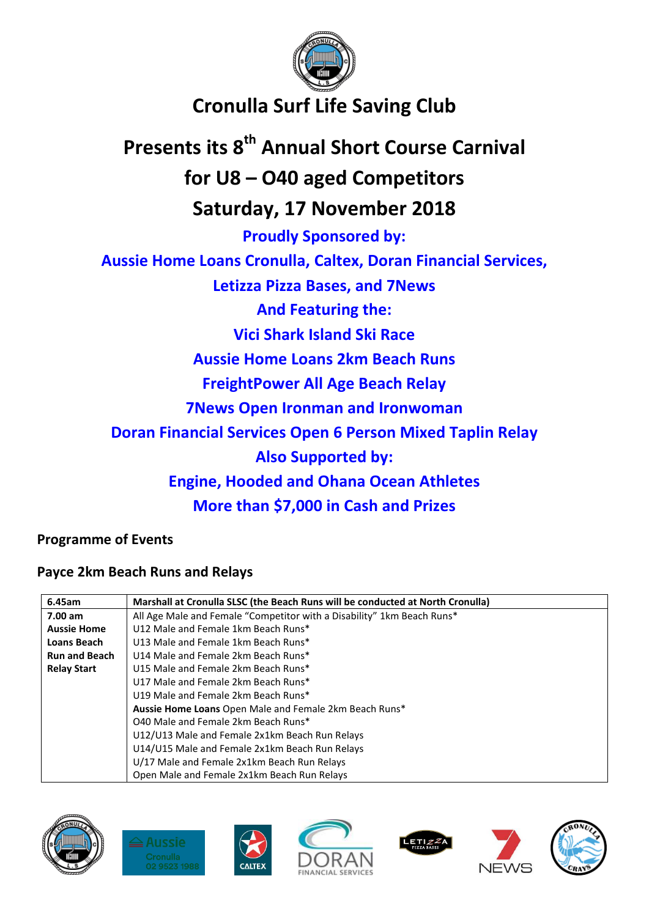

## **Cronulla Surf Life Saving Club**

# **Presents its 8 th Annual Short Course Carnival for U8 – O40 aged Competitors Saturday, 17 November 2018 Proudly Sponsored by: Aussie Home Loans Cronulla, Caltex, Doran Financial Services, Letizza Pizza Bases, and 7News And Featuring the: Vici Shark Island Ski Race Aussie Home Loans 2km Beach Runs FreightPower All Age Beach Relay 7News Open Ironman and Ironwoman Doran Financial Services Open 6 Person Mixed Taplin Relay Also Supported by: Engine, Hooded and Ohana Ocean Athletes More than \$7,000 in Cash and Prizes**

**Programme of Events**

## **Payce 2km Beach Runs and Relays**

| 6.45am               | Marshall at Cronulla SLSC (the Beach Runs will be conducted at North Cronulla) |  |  |  |  |
|----------------------|--------------------------------------------------------------------------------|--|--|--|--|
| 7.00 am              | All Age Male and Female "Competitor with a Disability" 1km Beach Runs*         |  |  |  |  |
| <b>Aussie Home</b>   | U12 Male and Female 1km Beach Runs*                                            |  |  |  |  |
| Loans Beach          | U13 Male and Female 1km Beach Runs*                                            |  |  |  |  |
| <b>Run and Beach</b> | U14 Male and Female 2km Beach Runs*                                            |  |  |  |  |
| <b>Relay Start</b>   | U15 Male and Female 2km Beach Runs*                                            |  |  |  |  |
|                      | U17 Male and Female 2km Beach Runs*                                            |  |  |  |  |
|                      | U19 Male and Female 2km Beach Runs*                                            |  |  |  |  |
|                      | Aussie Home Loans Open Male and Female 2km Beach Runs*                         |  |  |  |  |
|                      | 040 Male and Female 2km Beach Runs*                                            |  |  |  |  |
|                      | U12/U13 Male and Female 2x1km Beach Run Relays                                 |  |  |  |  |
|                      | U14/U15 Male and Female 2x1km Beach Run Relays                                 |  |  |  |  |
|                      | U/17 Male and Female 2x1km Beach Run Relays                                    |  |  |  |  |
|                      | Open Male and Female 2x1km Beach Run Relays                                    |  |  |  |  |











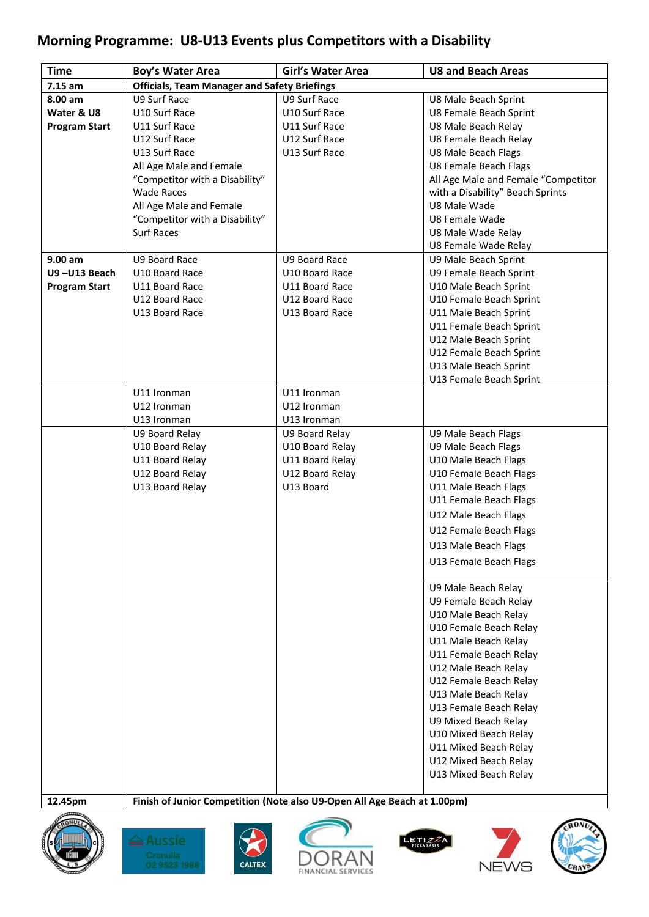## **Morning Programme: U8-U13 Events plus Competitors with a Disability**

| <b>Time</b>          | Boy's Water Area                                    | <b>Girl's Water Area</b>                                                 | <b>U8 and Beach Areas</b>           |
|----------------------|-----------------------------------------------------|--------------------------------------------------------------------------|-------------------------------------|
| $7.15$ am            | <b>Officials, Team Manager and Safety Briefings</b> |                                                                          |                                     |
| 8.00 am              | U9 Surf Race                                        | U9 Surf Race                                                             | U8 Male Beach Sprint                |
| Water & U8           | U10 Surf Race                                       | U10 Surf Race                                                            | U8 Female Beach Sprint              |
| <b>Program Start</b> | U11 Surf Race                                       | U11 Surf Race                                                            | U8 Male Beach Relay                 |
|                      | U12 Surf Race                                       | U12 Surf Race                                                            | U8 Female Beach Relay               |
|                      | U13 Surf Race                                       | U13 Surf Race                                                            | <b>U8 Male Beach Flags</b>          |
|                      | All Age Male and Female                             |                                                                          | U8 Female Beach Flags               |
|                      | "Competitor with a Disability"                      |                                                                          | All Age Male and Female "Competitor |
|                      | <b>Wade Races</b>                                   |                                                                          | with a Disability" Beach Sprints    |
|                      | All Age Male and Female                             |                                                                          | U8 Male Wade                        |
|                      | "Competitor with a Disability"                      |                                                                          | U8 Female Wade                      |
|                      | <b>Surf Races</b>                                   |                                                                          | U8 Male Wade Relay                  |
|                      |                                                     |                                                                          | U8 Female Wade Relay                |
| 9.00 am              | U9 Board Race                                       | U9 Board Race                                                            | U9 Male Beach Sprint                |
| U9-U13 Beach         | U10 Board Race                                      | U10 Board Race                                                           | U9 Female Beach Sprint              |
| <b>Program Start</b> | U11 Board Race                                      | U11 Board Race                                                           | U10 Male Beach Sprint               |
|                      | U12 Board Race                                      | U12 Board Race                                                           | U10 Female Beach Sprint             |
|                      | U13 Board Race                                      | U13 Board Race                                                           | U11 Male Beach Sprint               |
|                      |                                                     |                                                                          | U11 Female Beach Sprint             |
|                      |                                                     |                                                                          | U12 Male Beach Sprint               |
|                      |                                                     |                                                                          | U12 Female Beach Sprint             |
|                      |                                                     |                                                                          | U13 Male Beach Sprint               |
|                      |                                                     |                                                                          | U13 Female Beach Sprint             |
|                      | U11 Ironman                                         | U11 Ironman                                                              |                                     |
|                      | U12 Ironman                                         | U12 Ironman                                                              |                                     |
|                      | U13 Ironman                                         | U13 Ironman                                                              |                                     |
|                      | U9 Board Relay                                      | U9 Board Relay                                                           | U9 Male Beach Flags                 |
|                      | U10 Board Relay                                     | U10 Board Relay                                                          | U9 Male Beach Flags                 |
|                      | U11 Board Relay                                     | U11 Board Relay                                                          | U10 Male Beach Flags                |
|                      | U12 Board Relay                                     | U12 Board Relay                                                          | U10 Female Beach Flags              |
|                      | U13 Board Relay                                     | U13 Board                                                                | U11 Male Beach Flags                |
|                      |                                                     |                                                                          | U11 Female Beach Flags              |
|                      |                                                     |                                                                          | U12 Male Beach Flags                |
|                      |                                                     |                                                                          | U12 Female Beach Flags              |
|                      |                                                     |                                                                          | U13 Male Beach Flags                |
|                      |                                                     |                                                                          | U13 Female Beach Flags              |
|                      |                                                     |                                                                          |                                     |
|                      |                                                     |                                                                          | U9 Male Beach Relay                 |
|                      |                                                     |                                                                          | U9 Female Beach Relay               |
|                      |                                                     |                                                                          | U10 Male Beach Relay                |
|                      |                                                     |                                                                          | U10 Female Beach Relay              |
|                      |                                                     |                                                                          | U11 Male Beach Relay                |
|                      |                                                     |                                                                          | U11 Female Beach Relay              |
|                      |                                                     |                                                                          | U12 Male Beach Relay                |
|                      |                                                     |                                                                          | U12 Female Beach Relay              |
|                      |                                                     |                                                                          | U13 Male Beach Relay                |
|                      |                                                     |                                                                          | U13 Female Beach Relay              |
|                      |                                                     |                                                                          | U9 Mixed Beach Relay                |
|                      |                                                     |                                                                          | U10 Mixed Beach Relay               |
|                      |                                                     |                                                                          | U11 Mixed Beach Relay               |
|                      |                                                     |                                                                          | U12 Mixed Beach Relay               |
|                      |                                                     |                                                                          | U13 Mixed Beach Relay               |
|                      |                                                     |                                                                          |                                     |
| 12.45pm              |                                                     | Finish of Junior Competition (Note also U9-Open All Age Beach at 1.00pm) |                                     |











JEW

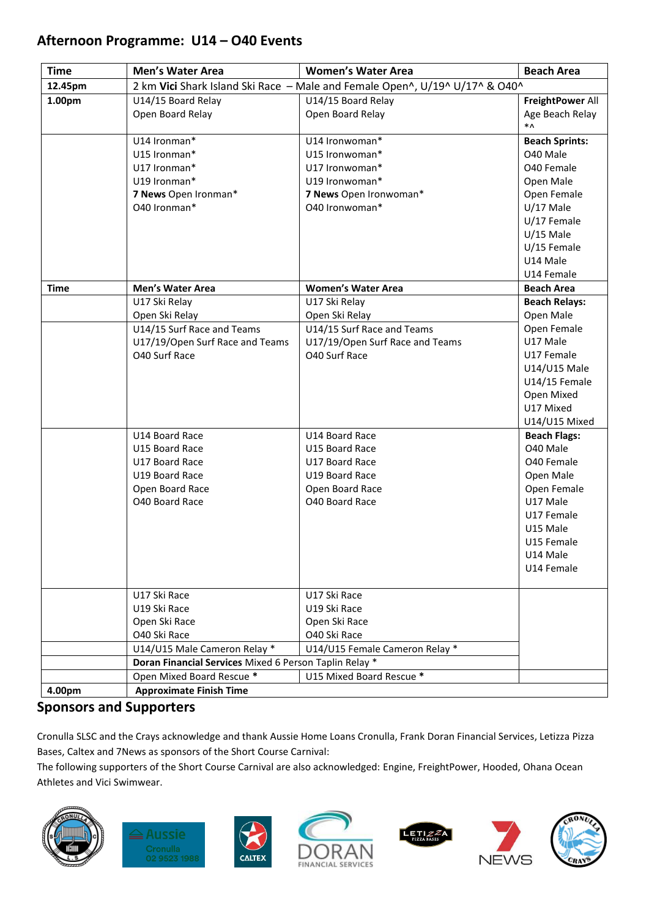## **Afternoon Programme: U14 – O40 Events**

| <b>Time</b>        | <b>Men's Water Area</b>                                | <b>Women's Water Area</b>                                                   | <b>Beach Area</b>               |  |  |  |
|--------------------|--------------------------------------------------------|-----------------------------------------------------------------------------|---------------------------------|--|--|--|
| 12.45pm            |                                                        | 2 km Vici Shark Island Ski Race - Male and Female Open^, U/19^ U/17^ & O40^ |                                 |  |  |  |
| 1.00 <sub>pm</sub> | U14/15 Board Relay                                     | U14/15 Board Relay                                                          | FreightPower All                |  |  |  |
|                    | Open Board Relay                                       | Open Board Relay                                                            | Age Beach Relay                 |  |  |  |
|                    |                                                        |                                                                             | *۸                              |  |  |  |
|                    | U14 Ironman*                                           | U14 Ironwoman*                                                              | <b>Beach Sprints:</b>           |  |  |  |
|                    | U15 Ironman*                                           | U15 Ironwoman*                                                              | O40 Male                        |  |  |  |
|                    | U17 Ironman*<br>U19 Ironman*                           | U17 Ironwoman*                                                              | O40 Female                      |  |  |  |
|                    |                                                        | U19 Ironwoman*                                                              | Open Male                       |  |  |  |
|                    | 7 News Open Ironman*<br>040 Ironman*                   | 7 News Open Ironwoman*<br>040 Ironwoman*                                    | Open Female<br>$U/17$ Male      |  |  |  |
|                    |                                                        |                                                                             | U/17 Female                     |  |  |  |
|                    |                                                        |                                                                             | $U/15$ Male                     |  |  |  |
|                    |                                                        |                                                                             | $U/15$ Female                   |  |  |  |
|                    |                                                        |                                                                             | U14 Male                        |  |  |  |
|                    |                                                        |                                                                             | U14 Female                      |  |  |  |
| <b>Time</b>        | <b>Men's Water Area</b>                                | <b>Women's Water Area</b>                                                   | <b>Beach Area</b>               |  |  |  |
|                    | U17 Ski Relay                                          | U17 Ski Relay                                                               | <b>Beach Relays:</b>            |  |  |  |
|                    | Open Ski Relay                                         | Open Ski Relay                                                              | Open Male                       |  |  |  |
|                    | U14/15 Surf Race and Teams                             | U14/15 Surf Race and Teams                                                  | Open Female                     |  |  |  |
|                    | U17/19/Open Surf Race and Teams                        | U17/19/Open Surf Race and Teams                                             | U17 Male                        |  |  |  |
|                    | O40 Surf Race                                          | O40 Surf Race                                                               | U17 Female                      |  |  |  |
|                    |                                                        |                                                                             | U14/U15 Male                    |  |  |  |
|                    |                                                        |                                                                             | U14/15 Female                   |  |  |  |
|                    |                                                        |                                                                             | Open Mixed                      |  |  |  |
|                    |                                                        |                                                                             | U17 Mixed                       |  |  |  |
|                    |                                                        |                                                                             | U14/U15 Mixed                   |  |  |  |
|                    | U14 Board Race<br>U15 Board Race                       | U14 Board Race                                                              | <b>Beach Flags:</b><br>O40 Male |  |  |  |
|                    | U17 Board Race                                         | U15 Board Race<br>U17 Board Race                                            | O40 Female                      |  |  |  |
|                    | U19 Board Race                                         | U19 Board Race                                                              | Open Male                       |  |  |  |
|                    | Open Board Race                                        | Open Board Race                                                             | Open Female                     |  |  |  |
|                    | O40 Board Race                                         | O40 Board Race                                                              | U17 Male                        |  |  |  |
|                    |                                                        |                                                                             | U17 Female                      |  |  |  |
|                    |                                                        |                                                                             | U15 Male                        |  |  |  |
|                    |                                                        |                                                                             | U15 Female                      |  |  |  |
|                    |                                                        |                                                                             | U14 Male                        |  |  |  |
|                    |                                                        |                                                                             | U14 Female                      |  |  |  |
|                    |                                                        |                                                                             |                                 |  |  |  |
|                    | U17 Ski Race                                           | U17 Ski Race                                                                |                                 |  |  |  |
|                    | U19 Ski Race                                           | U19 Ski Race                                                                |                                 |  |  |  |
|                    | Open Ski Race                                          | Open Ski Race                                                               |                                 |  |  |  |
|                    | 040 Ski Race                                           | O40 Ski Race                                                                |                                 |  |  |  |
|                    | U14/U15 Male Cameron Relay *                           | U14/U15 Female Cameron Relay *                                              |                                 |  |  |  |
|                    | Doran Financial Services Mixed 6 Person Taplin Relay * |                                                                             |                                 |  |  |  |
|                    | Open Mixed Board Rescue *                              | U15 Mixed Board Rescue *                                                    |                                 |  |  |  |
| 4.00pm             | <b>Approximate Finish Time</b>                         |                                                                             |                                 |  |  |  |

## **Sponsors and Supporters**

Cronulla SLSC and the Crays acknowledge and thank Aussie Home Loans Cronulla, Frank Doran Financial Services, Letizza Pizza Bases, Caltex and 7News as sponsors of the Short Course Carnival:

The following supporters of the Short Course Carnival are also acknowledged: Engine, FreightPower, Hooded, Ohana Ocean Athletes and Vici Swimwear.













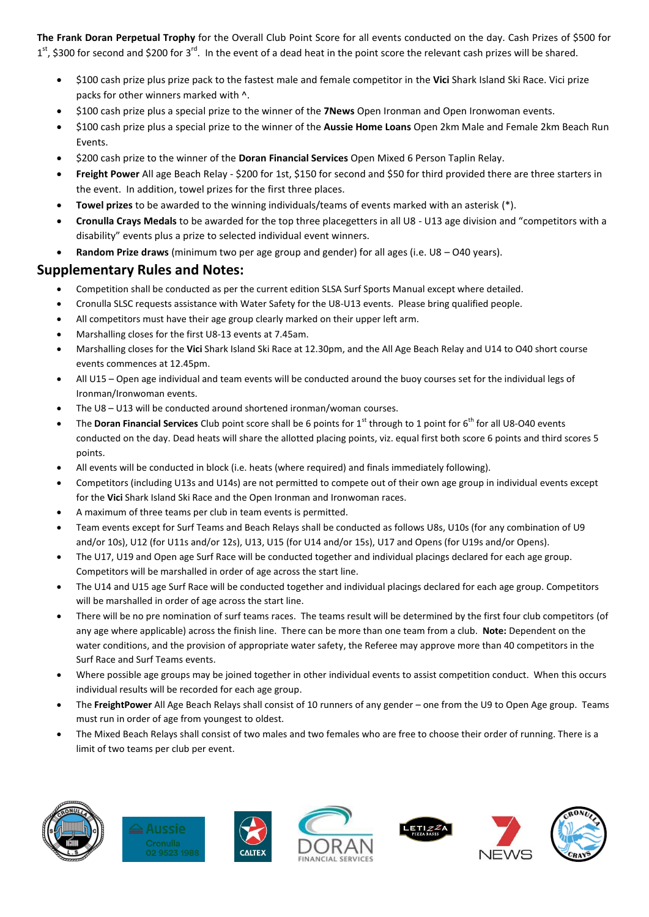**The Frank Doran Perpetual Trophy** for the Overall Club Point Score for all events conducted on the day. Cash Prizes of \$500 for  $1<sup>st</sup>$ , \$300 for second and \$200 for 3<sup>rd</sup>. In the event of a dead heat in the point score the relevant cash prizes will be shared.

- \$100 cash prize plus prize pack to the fastest male and female competitor in the **Vici** Shark Island Ski Race. Vici prize packs for other winners marked with ^.
- \$100 cash prize plus a special prize to the winner of the **7News** Open Ironman and Open Ironwoman events.
- \$100 cash prize plus a special prize to the winner of the **Aussie Home Loans** Open 2km Male and Female 2km Beach Run Events.
- \$200 cash prize to the winner of the **Doran Financial Services** Open Mixed 6 Person Taplin Relay.
- **Freight Power** All age Beach Relay \$200 for 1st, \$150 for second and \$50 for third provided there are three starters in the event. In addition, towel prizes for the first three places.
- **Towel prizes** to be awarded to the winning individuals/teams of events marked with an asterisk (\*).
- **Cronulla Crays Medals** to be awarded for the top three placegetters in all U8 U13 age division and "competitors with a disability" events plus a prize to selected individual event winners.
- **Random Prize draws** (minimum two per age group and gender) for all ages (i.e. U8 O40 years).

#### **Supplementary Rules and Notes:**

- Competition shall be conducted as per the current edition SLSA Surf Sports Manual except where detailed.
- Cronulla SLSC requests assistance with Water Safety for the U8-U13 events. Please bring qualified people.
- All competitors must have their age group clearly marked on their upper left arm.
- Marshalling closes for the first U8-13 events at 7.45am.
- Marshalling closes for the **Vici** Shark Island Ski Race at 12.30pm, and the All Age Beach Relay and U14 to O40 short course events commences at 12.45pm.
- All U15 Open age individual and team events will be conducted around the buoy courses set for the individual legs of Ironman/Ironwoman events.
- The U8 U13 will be conducted around shortened ironman/woman courses.
- The **Doran Financial Services** Club point score shall be 6 points for 1<sup>st</sup> through to 1 point for 6<sup>th</sup> for all U8-O40 events conducted on the day. Dead heats will share the allotted placing points, viz. equal first both score 6 points and third scores 5 points.
- All events will be conducted in block (i.e. heats (where required) and finals immediately following).
- Competitors (including U13s and U14s) are not permitted to compete out of their own age group in individual events except for the **Vici** Shark Island Ski Race and the Open Ironman and Ironwoman races.
- A maximum of three teams per club in team events is permitted.
- Team events except for Surf Teams and Beach Relays shall be conducted as follows U8s, U10s (for any combination of U9 and/or 10s), U12 (for U11s and/or 12s), U13, U15 (for U14 and/or 15s), U17 and Opens (for U19s and/or Opens).
- The U17, U19 and Open age Surf Race will be conducted together and individual placings declared for each age group. Competitors will be marshalled in order of age across the start line.
- The U14 and U15 age Surf Race will be conducted together and individual placings declared for each age group. Competitors will be marshalled in order of age across the start line.
- There will be no pre nomination of surf teams races. The teams result will be determined by the first four club competitors (of any age where applicable) across the finish line. There can be more than one team from a club. **Note:** Dependent on the water conditions, and the provision of appropriate water safety, the Referee may approve more than 40 competitors in the Surf Race and Surf Teams events.
- Where possible age groups may be joined together in other individual events to assist competition conduct. When this occurs individual results will be recorded for each age group.
- The **FreightPower** All Age Beach Relays shall consist of 10 runners of any gender one from the U9 to Open Age group. Teams must run in order of age from youngest to oldest.
- The Mixed Beach Relays shall consist of two males and two females who are free to choose their order of running. There is a limit of two teams per club per event.